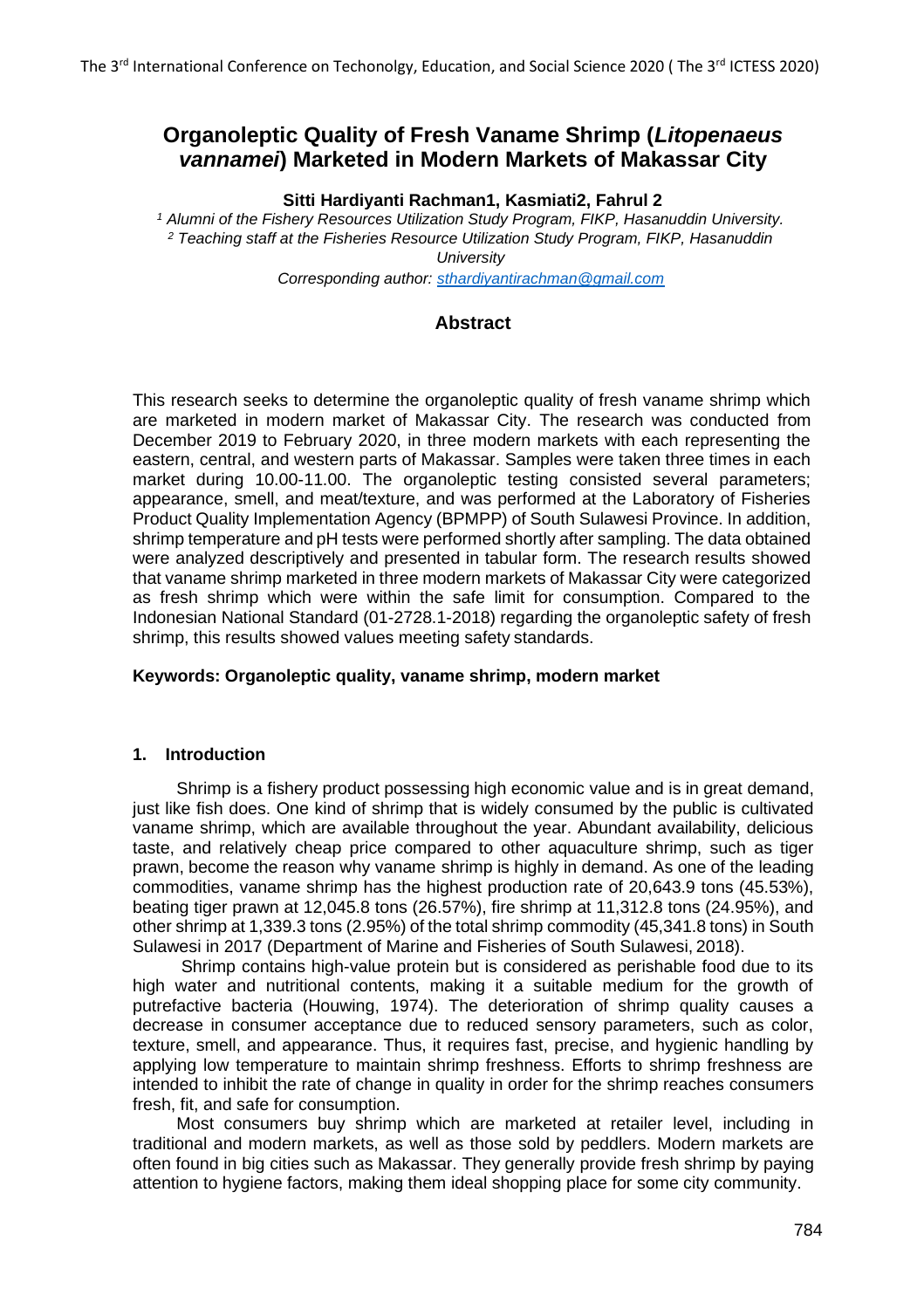# **Organoleptic Quality of Fresh Vaname Shrimp (***Litopenaeus vannamei***) Marketed in Modern Markets of Makassar City**

**Sitti Hardiyanti Rachman1, Kasmiati2, Fahrul 2**

*<sup>1</sup> Alumni of the Fishery Resources Utilization Study Program, FIKP, Hasanuddin University. <sup>2</sup> Teaching staff at the Fisheries Resource Utilization Study Program, FIKP, Hasanuddin University*

*Corresponding author: [sthardiyantirachman@gmail.com](mailto:sthardiyantirachman@gmail.com)*

## **Abstract**

This research seeks to determine the organoleptic quality of fresh vaname shrimp which are marketed in modern market of Makassar City. The research was conducted from December 2019 to February 2020, in three modern markets with each representing the eastern, central, and western parts of Makassar. Samples were taken three times in each market during 10.00-11.00. The organoleptic testing consisted several parameters; appearance, smell, and meat/texture, and was performed at the Laboratory of Fisheries Product Quality Implementation Agency (BPMPP) of South Sulawesi Province. In addition, shrimp temperature and pH tests were performed shortly after sampling. The data obtained were analyzed descriptively and presented in tabular form. The research results showed that vaname shrimp marketed in three modern markets of Makassar City were categorized as fresh shrimp which were within the safe limit for consumption. Compared to the Indonesian National Standard (01-2728.1-2018) regarding the organoleptic safety of fresh shrimp, this results showed values meeting safety standards.

### **Keywords: Organoleptic quality, vaname shrimp, modern market**

### **1. Introduction**

Shrimp is a fishery product possessing high economic value and is in great demand, just like fish does. One kind of shrimp that is widely consumed by the public is cultivated vaname shrimp, which are available throughout the year. Abundant availability, delicious taste, and relatively cheap price compared to other aquaculture shrimp, such as tiger prawn, become the reason why vaname shrimp is highly in demand. As one of the leading commodities, vaname shrimp has the highest production rate of 20,643.9 tons (45.53%), beating tiger prawn at 12,045.8 tons (26.57%), fire shrimp at 11,312.8 tons (24.95%), and other shrimp at 1,339.3 tons (2.95%) of the total shrimp commodity (45,341.8 tons) in South Sulawesi in 2017 (Department of Marine and Fisheries of South Sulawesi, 2018).

Shrimp contains high-value protein but is considered as perishable food due to its high water and nutritional contents, making it a suitable medium for the growth of putrefactive bacteria (Houwing, 1974). The deterioration of shrimp quality causes a decrease in consumer acceptance due to reduced sensory parameters, such as color, texture, smell, and appearance. Thus, it requires fast, precise, and hygienic handling by applying low temperature to maintain shrimp freshness. Efforts to shrimp freshness are intended to inhibit the rate of change in quality in order for the shrimp reaches consumers fresh, fit, and safe for consumption.

Most consumers buy shrimp which are marketed at retailer level, including in traditional and modern markets, as well as those sold by peddlers. Modern markets are often found in big cities such as Makassar. They generally provide fresh shrimp by paying attention to hygiene factors, making them ideal shopping place for some city community.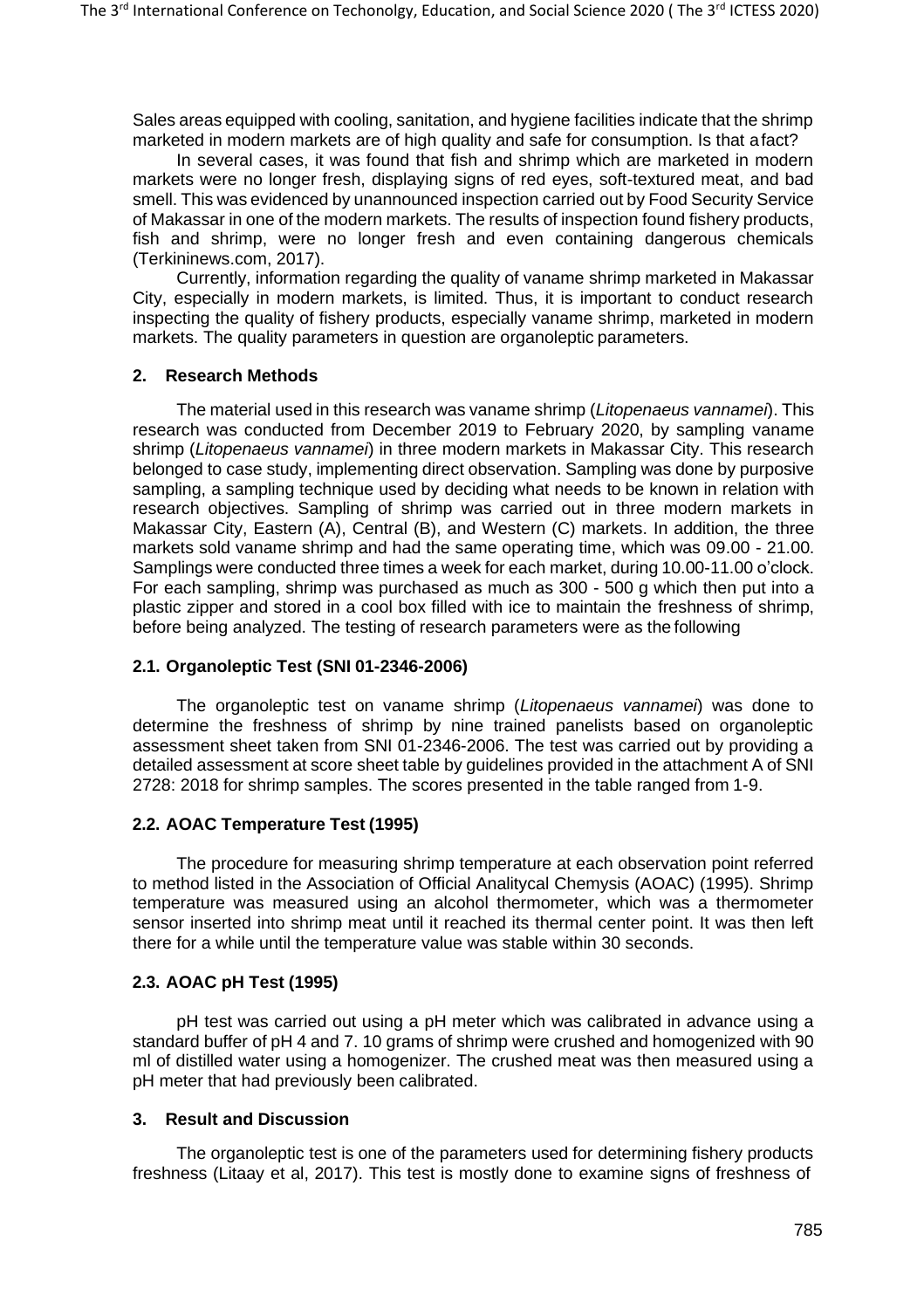Sales areas equipped with cooling, sanitation, and hygiene facilities indicate that the shrimp marketed in modern markets are of high quality and safe for consumption. Is that afact?

In several cases, it was found that fish and shrimp which are marketed in modern markets were no longer fresh, displaying signs of red eyes, soft-textured meat, and bad smell. This was evidenced by unannounced inspection carried out by Food Security Service of Makassar in one of the modern markets. The results of inspection found fishery products, fish and shrimp, were no longer fresh and even containing dangerous chemicals (Terkininews.com, 2017).

Currently, information regarding the quality of vaname shrimp marketed in Makassar City, especially in modern markets, is limited. Thus, it is important to conduct research inspecting the quality of fishery products, especially vaname shrimp, marketed in modern markets. The quality parameters in question are organoleptic parameters.

### **2. Research Methods**

The material used in this research was vaname shrimp (*Litopenaeus vannamei*). This research was conducted from December 2019 to February 2020, by sampling vaname shrimp (*Litopenaeus vannamei*) in three modern markets in Makassar City. This research belonged to case study, implementing direct observation. Sampling was done by purposive sampling, a sampling technique used by deciding what needs to be known in relation with research objectives. Sampling of shrimp was carried out in three modern markets in Makassar City, Eastern (A), Central (B), and Western (C) markets. In addition, the three markets sold vaname shrimp and had the same operating time, which was 09.00 - 21.00. Samplings were conducted three times a week for each market, during 10.00-11.00 o'clock. For each sampling, shrimp was purchased as much as 300 - 500 g which then put into a plastic zipper and stored in a cool box filled with ice to maintain the freshness of shrimp, before being analyzed. The testing of research parameters were as the following

### **2.1. Organoleptic Test (SNI 01-2346-2006)**

The organoleptic test on vaname shrimp (*Litopenaeus vannamei*) was done to determine the freshness of shrimp by nine trained panelists based on organoleptic assessment sheet taken from SNI 01-2346-2006. The test was carried out by providing a detailed assessment at score sheet table by guidelines provided in the attachment A of SNI 2728: 2018 for shrimp samples. The scores presented in the table ranged from 1-9.

### **2.2. AOAC Temperature Test (1995)**

The procedure for measuring shrimp temperature at each observation point referred to method listed in the Association of Official Analitycal Chemysis (AOAC) (1995). Shrimp temperature was measured using an alcohol thermometer, which was a thermometer sensor inserted into shrimp meat until it reached its thermal center point. It was then left there for a while until the temperature value was stable within 30 seconds.

### **2.3. AOAC pH Test (1995)**

pH test was carried out using a pH meter which was calibrated in advance using a standard buffer of pH 4 and 7. 10 grams of shrimp were crushed and homogenized with 90 ml of distilled water using a homogenizer. The crushed meat was then measured using a pH meter that had previously been calibrated.

#### **3. Result and Discussion**

The organoleptic test is one of the parameters used for determining fishery products freshness (Litaay et al, 2017). This test is mostly done to examine signs of freshness of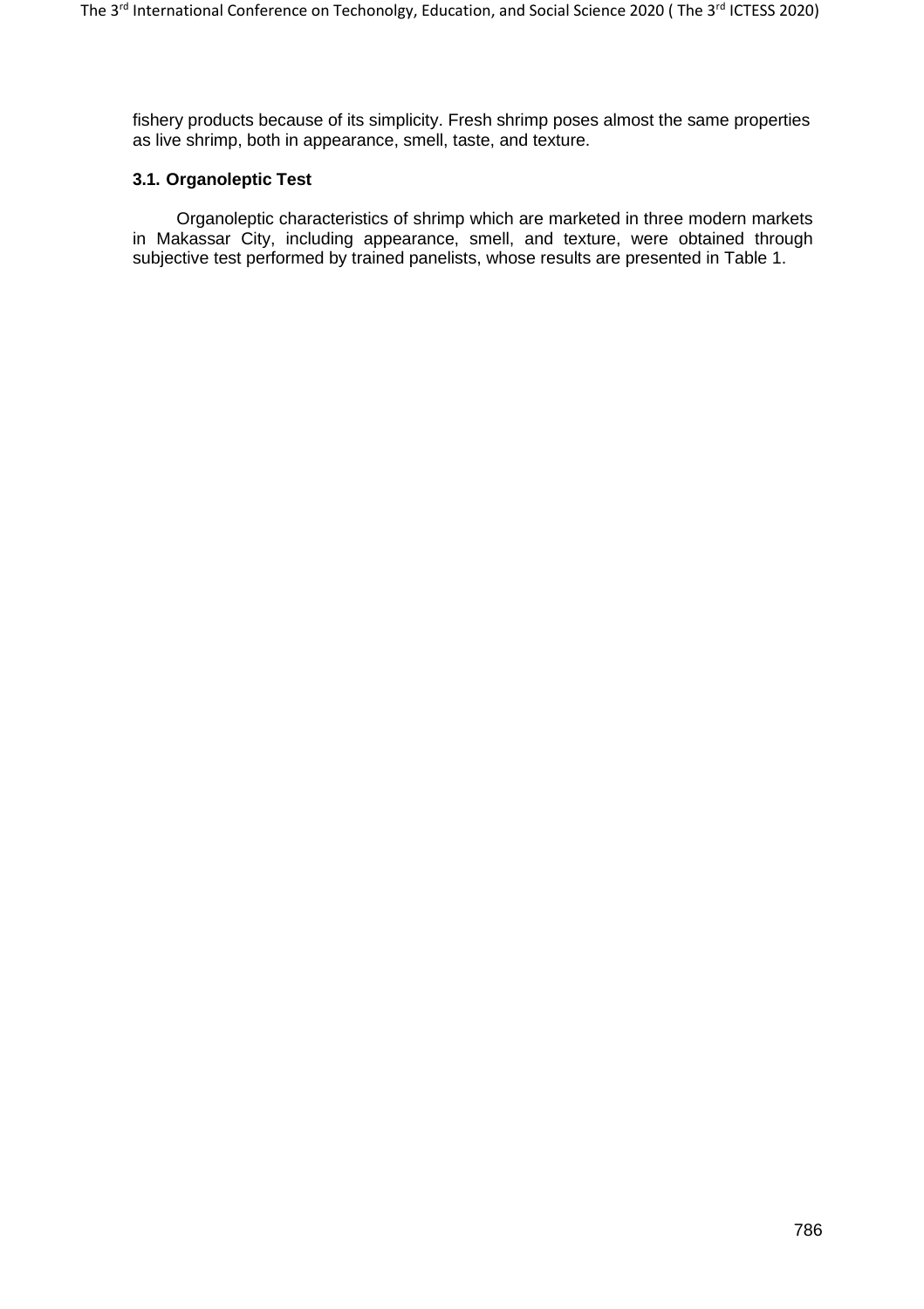fishery products because of its simplicity. Fresh shrimp poses almost the same properties as live shrimp, both in appearance, smell, taste, and texture.

### **3.1. Organoleptic Test**

Organoleptic characteristics of shrimp which are marketed in three modern markets in Makassar City, including appearance, smell, and texture, were obtained through subjective test performed by trained panelists, whose results are presented in Table 1.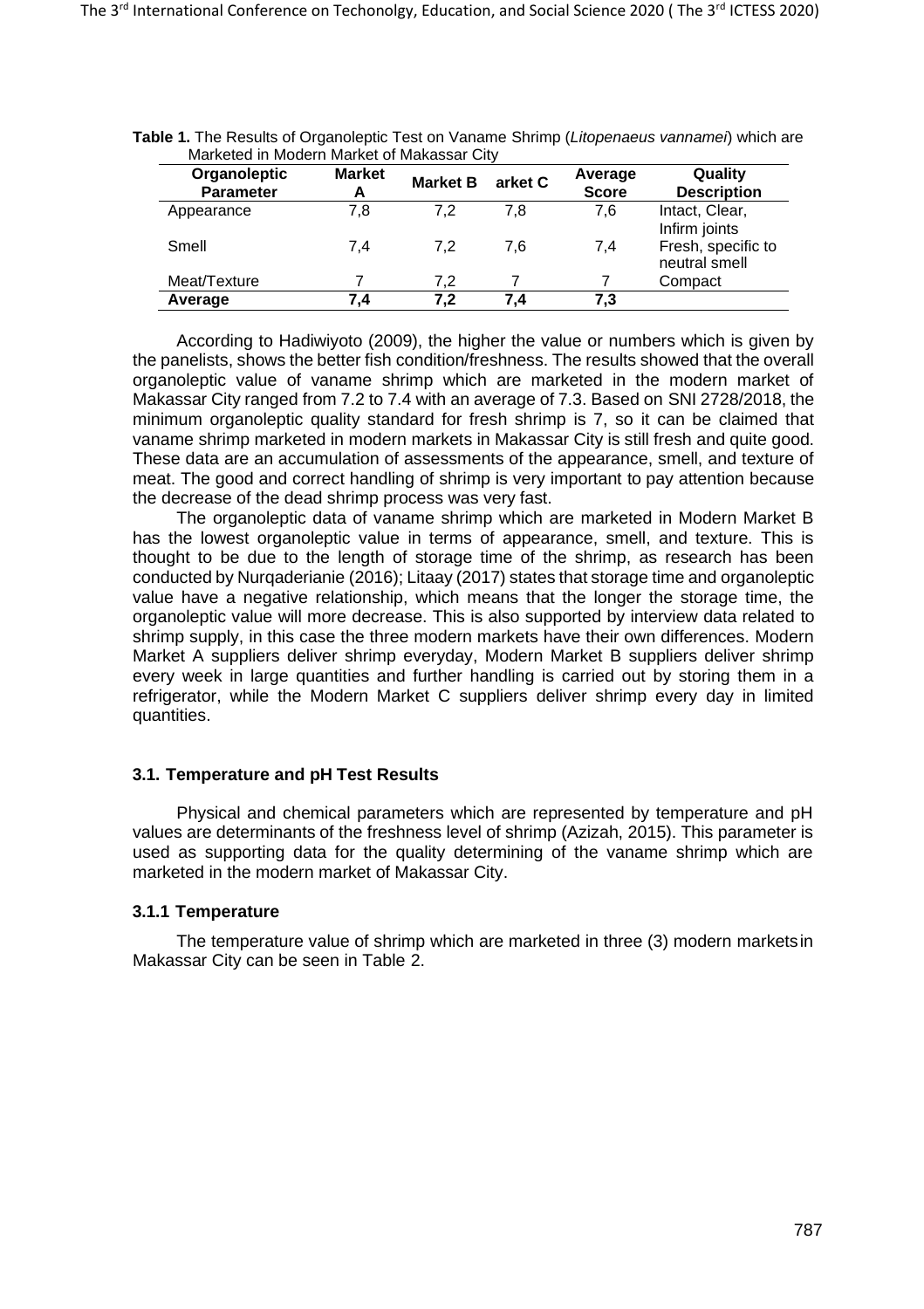| Organoleptic<br><b>Parameter</b> | <b>Market</b><br>А | <b>Market B</b> | arket C | Average<br><b>Score</b> | Quality<br><b>Description</b>       |
|----------------------------------|--------------------|-----------------|---------|-------------------------|-------------------------------------|
| Appearance                       | 7.8                | 7.2             | 7.8     | 7.6                     | Intact, Clear,<br>Infirm joints     |
| Smell                            | 7.4                | 7.2             | 7.6     | 7.4                     | Fresh, specific to<br>neutral smell |
| Meat/Texture                     |                    | 7.2             |         |                         | Compact                             |
| Average                          | 7.4                | 7.2             | 7.4     | 7.3                     |                                     |

**Table 1.** The Results of Organoleptic Test on Vaname Shrimp (*Litopenaeus vannamei*) which are Marketed in Modern Market of Makassar City

According to Hadiwiyoto (2009), the higher the value or numbers which is given by the panelists, shows the better fish condition/freshness. The results showed that the overall organoleptic value of vaname shrimp which are marketed in the modern market of Makassar City ranged from 7.2 to 7.4 with an average of 7.3. Based on SNI 2728/2018, the minimum organoleptic quality standard for fresh shrimp is 7, so it can be claimed that vaname shrimp marketed in modern markets in Makassar City is still fresh and quite good. These data are an accumulation of assessments of the appearance, smell, and texture of meat. The good and correct handling of shrimp is very important to pay attention because the decrease of the dead shrimp process was very fast.

The organoleptic data of vaname shrimp which are marketed in Modern Market B has the lowest organoleptic value in terms of appearance, smell, and texture. This is thought to be due to the length of storage time of the shrimp, as research has been conducted by Nurqaderianie (2016); Litaay (2017) states that storage time and organoleptic value have a negative relationship, which means that the longer the storage time, the organoleptic value will more decrease. This is also supported by interview data related to shrimp supply, in this case the three modern markets have their own differences. Modern Market A suppliers deliver shrimp everyday, Modern Market B suppliers deliver shrimp every week in large quantities and further handling is carried out by storing them in a refrigerator, while the Modern Market C suppliers deliver shrimp every day in limited quantities.

#### **3.1. Temperature and pH Test Results**

Physical and chemical parameters which are represented by temperature and pH values are determinants of the freshness level of shrimp (Azizah, 2015). This parameter is used as supporting data for the quality determining of the vaname shrimp which are marketed in the modern market of Makassar City.

#### **3.1.1 Temperature**

The temperature value of shrimp which are marketed in three (3) modern marketsin Makassar City can be seen in Table 2.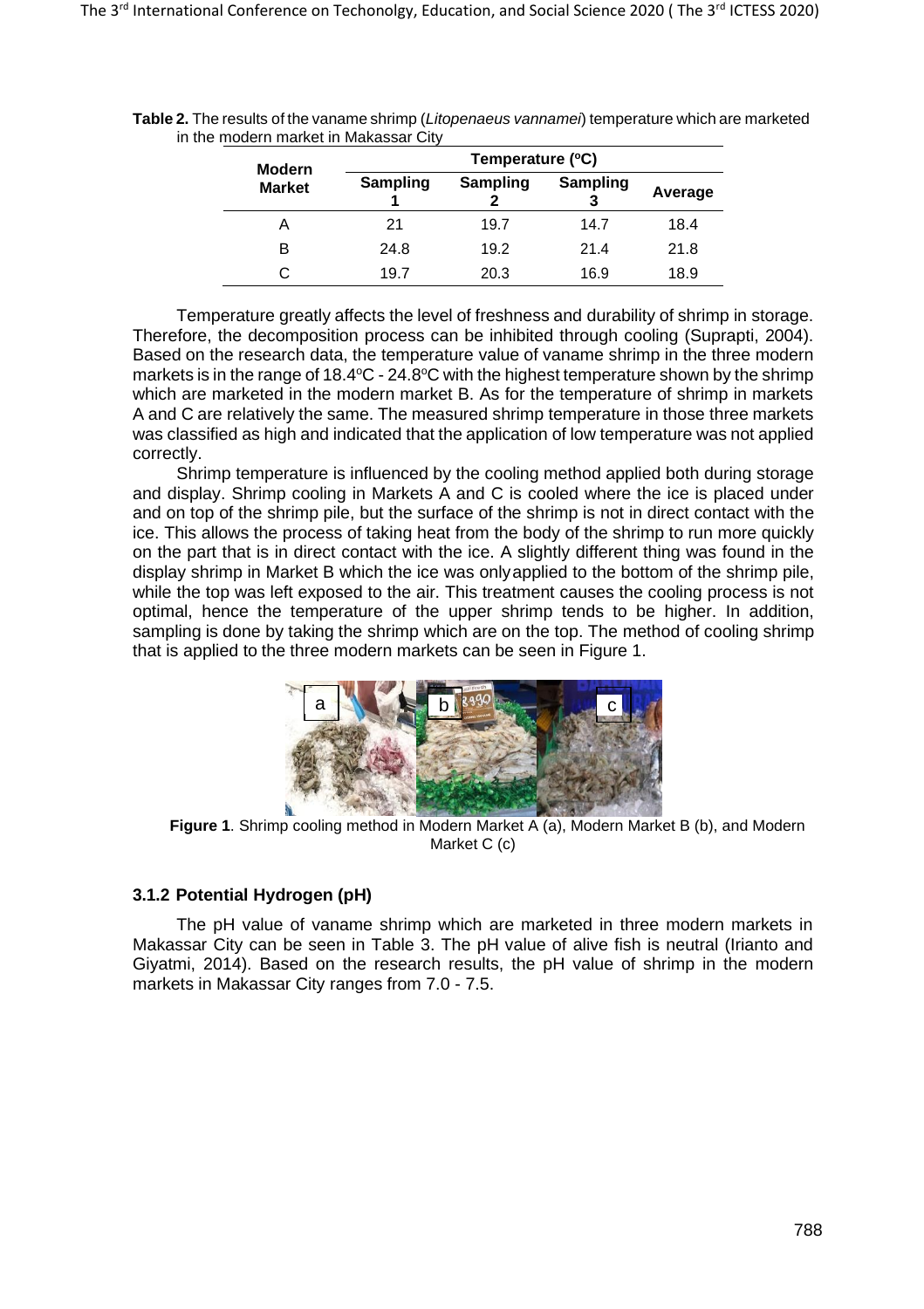| <b>Modern</b> | Temperature (°C) |                       |                 |         |  |
|---------------|------------------|-----------------------|-----------------|---------|--|
| <b>Market</b> | <b>Sampling</b>  | <b>Sampling</b><br>ּמ | <b>Sampling</b> | Average |  |
| А             | 21               | 19.7                  | 14.7            | 18.4    |  |
| в             | 24.8             | 19.2                  | 21.4            | 21.8    |  |
|               | 19.7             | 20.3                  | 16.9            | 18.9    |  |

|                                       | Table 2. The results of the vaname shrimp (Litopenaeus vannamei) temperature which are marketed |
|---------------------------------------|-------------------------------------------------------------------------------------------------|
| in the modern market in Makassar City |                                                                                                 |

Temperature greatly affects the level of freshness and durability of shrimp in storage. Therefore, the decomposition process can be inhibited through cooling (Suprapti, 2004). Based on the research data, the temperature value of vaname shrimp in the three modern markets is in the range of 18.4 $\degree$ C - 24.8 $\degree$ C with the highest temperature shown by the shrimp which are marketed in the modern market B. As for the temperature of shrimp in markets A and C are relatively the same. The measured shrimp temperature in those three markets was classified as high and indicated that the application of low temperature was not applied correctly.

Shrimp temperature is influenced by the cooling method applied both during storage and display. Shrimp cooling in Markets A and C is cooled where the ice is placed under and on top of the shrimp pile, but the surface of the shrimp is not in direct contact with the ice. This allows the process of taking heat from the body of the shrimp to run more quickly on the part that is in direct contact with the ice. A slightly different thing was found in the display shrimp in Market B which the ice was onlyapplied to the bottom of the shrimp pile, while the top was left exposed to the air. This treatment causes the cooling process is not optimal, hence the temperature of the upper shrimp tends to be higher. In addition, sampling is done by taking the shrimp which are on the top. The method of cooling shrimp that is applied to the three modern markets can be seen in Figure 1.



**Figure 1**. Shrimp cooling method in Modern Market A (a), Modern Market B (b), and Modern Market C (c)

### **3.1.2 Potential Hydrogen (pH)**

The pH value of vaname shrimp which are marketed in three modern markets in Makassar City can be seen in Table 3. The pH value of alive fish is neutral (Irianto and Giyatmi, 2014). Based on the research results, the pH value of shrimp in the modern markets in Makassar City ranges from 7.0 - 7.5.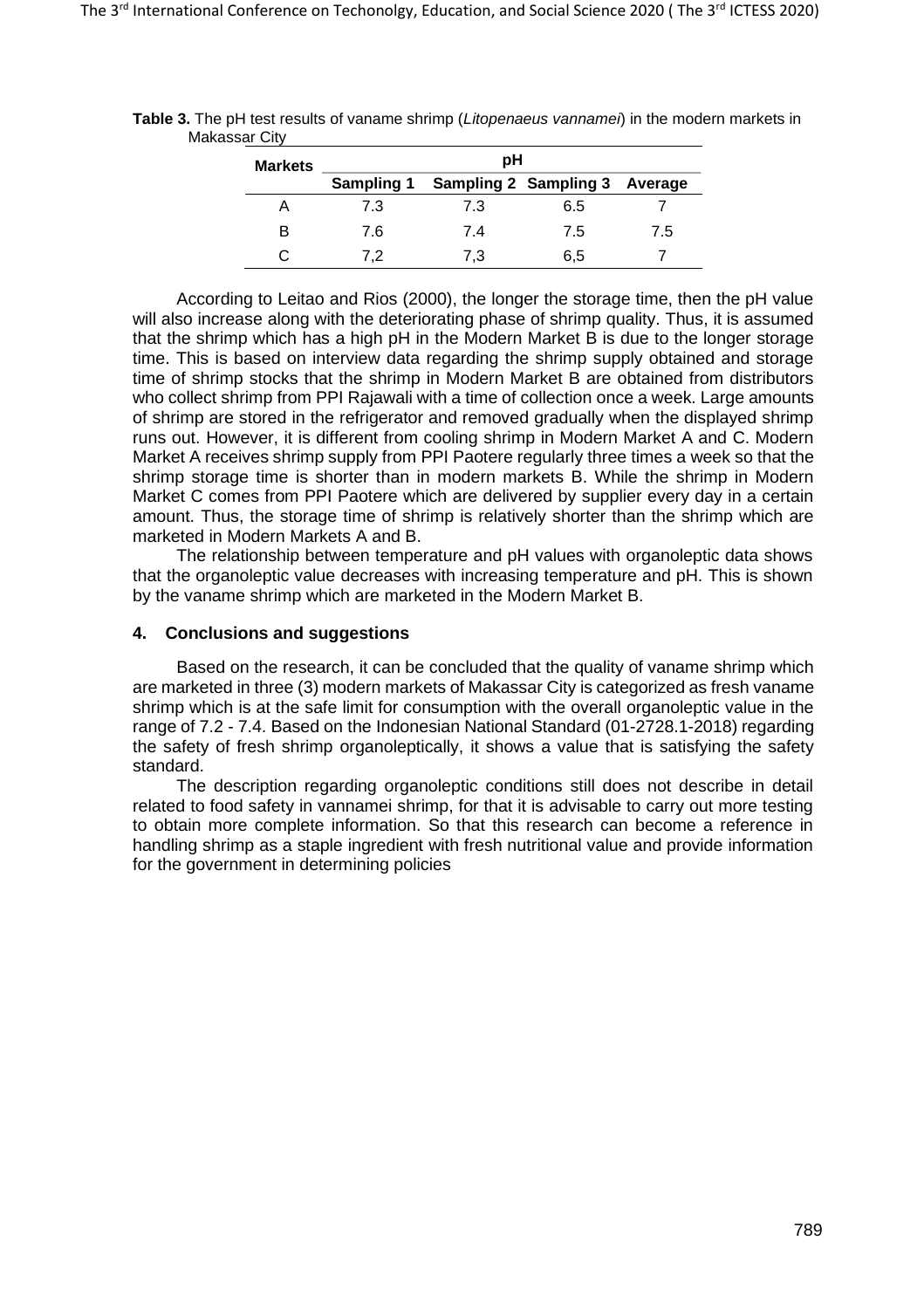| <b>Markets</b> | pН                |                              |     |         |  |
|----------------|-------------------|------------------------------|-----|---------|--|
|                | <b>Sampling 1</b> | <b>Sampling 2 Sampling 3</b> |     | Average |  |
|                | 7.3               | 7.3                          | 6.5 |         |  |
| в              | 7.6               | 7.4                          | 7.5 | 7.5     |  |
|                | 7.2               | 7.3                          | 6,5 |         |  |

|               | Table 3. The pH test results of vaname shrimp (Litopenaeus vannamei) in the modern markets in |  |
|---------------|-----------------------------------------------------------------------------------------------|--|
| Makassar City |                                                                                               |  |

According to Leitao and Rios (2000), the longer the storage time, then the pH value will also increase along with the deteriorating phase of shrimp quality. Thus, it is assumed that the shrimp which has a high pH in the Modern Market B is due to the longer storage time. This is based on interview data regarding the shrimp supply obtained and storage time of shrimp stocks that the shrimp in Modern Market B are obtained from distributors who collect shrimp from PPI Rajawali with a time of collection once a week. Large amounts of shrimp are stored in the refrigerator and removed gradually when the displayed shrimp runs out. However, it is different from cooling shrimp in Modern Market A and C. Modern Market A receives shrimp supply from PPI Paotere regularly three times a week so that the shrimp storage time is shorter than in modern markets B. While the shrimp in Modern Market C comes from PPI Paotere which are delivered by supplier every day in a certain amount. Thus, the storage time of shrimp is relatively shorter than the shrimp which are marketed in Modern Markets A and B.

The relationship between temperature and pH values with organoleptic data shows that the organoleptic value decreases with increasing temperature and pH. This is shown by the vaname shrimp which are marketed in the Modern Market B.

#### **4. Conclusions and suggestions**

Based on the research, it can be concluded that the quality of vaname shrimp which are marketed in three (3) modern markets of Makassar City is categorized as fresh vaname shrimp which is at the safe limit for consumption with the overall organoleptic value in the range of 7.2 - 7.4. Based on the Indonesian National Standard (01-2728.1-2018) regarding the safety of fresh shrimp organoleptically, it shows a value that is satisfying the safety standard.

The description regarding organoleptic conditions still does not describe in detail related to food safety in vannamei shrimp, for that it is advisable to carry out more testing to obtain more complete information. So that this research can become a reference in handling shrimp as a staple ingredient with fresh nutritional value and provide information for the government in determining policies